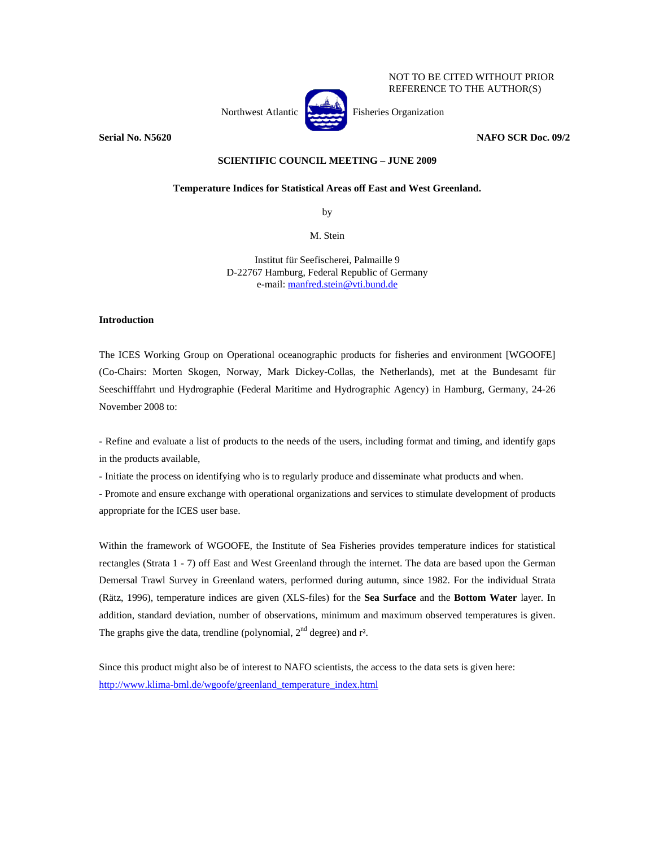Northwest Atlantic Fisheries Organization

**Serial No. N5620 NAFO SCR Doc. 09/2** 

NOT TO BE CITED WITHOUT PRIOR REFERENCE TO THE AUTHOR(S)

## **SCIENTIFIC COUNCIL MEETING – JUNE 2009**

## **Temperature Indices for Statistical Areas off East and West Greenland.**

by

M. Stein

Institut für Seefischerei, Palmaille 9 D-22767 Hamburg, Federal Republic of Germany e-mail: manfred.stein@vti.bund.de

## **Introduction**

The ICES Working Group on Operational oceanographic products for fisheries and environment [WGOOFE] (Co-Chairs: Morten Skogen, Norway, Mark Dickey-Collas, the Netherlands), met at the Bundesamt für Seeschifffahrt und Hydrographie (Federal Maritime and Hydrographic Agency) in Hamburg, Germany, 24-26 November 2008 to:

- Refine and evaluate a list of products to the needs of the users, including format and timing, and identify gaps in the products available,

- Initiate the process on identifying who is to regularly produce and disseminate what products and when.

- Promote and ensure exchange with operational organizations and services to stimulate development of products appropriate for the ICES user base.

Within the framework of WGOOFE, the Institute of Sea Fisheries provides temperature indices for statistical rectangles (Strata 1 - 7) off East and West Greenland through the internet. The data are based upon the German Demersal Trawl Survey in Greenland waters, performed during autumn, since 1982. For the individual Strata (Rätz, 1996), temperature indices are given (XLS-files) for the **Sea Surface** and the **Bottom Water** layer. In addition, standard deviation, number of observations, minimum and maximum observed temperatures is given. The graphs give the data, trendline (polynomial,  $2<sup>nd</sup>$  degree) and  $r<sup>2</sup>$ .

Since this product might also be of interest to NAFO scientists, the access to the data sets is given here: http://www.klima-bml.de/wgoofe/greenland\_temperature\_index.html